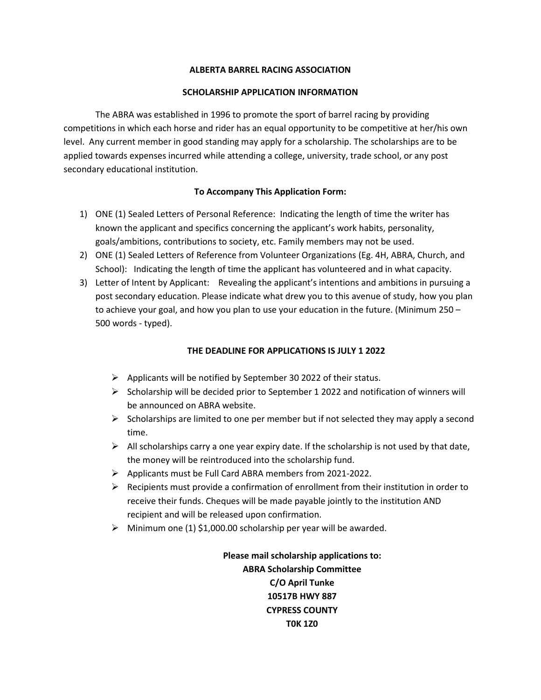## **ALBERTA BARREL RACING ASSOCIATION**

## **SCHOLARSHIP APPLICATION INFORMATION**

The ABRA was established in 1996 to promote the sport of barrel racing by providing competitions in which each horse and rider has an equal opportunity to be competitive at her/his own level. Any current member in good standing may apply for a scholarship. The scholarships are to be applied towards expenses incurred while attending a college, university, trade school, or any post secondary educational institution.

## **To Accompany This Application Form:**

- 1) ONE (1) Sealed Letters of Personal Reference: Indicating the length of time the writer has known the applicant and specifics concerning the applicant's work habits, personality, goals/ambitions, contributions to society, etc. Family members may not be used.
- 2) ONE (1) Sealed Letters of Reference from Volunteer Organizations (Eg. 4H, ABRA, Church, and School): Indicating the length of time the applicant has volunteered and in what capacity.
- 3) Letter of Intent by Applicant: Revealing the applicant's intentions and ambitions in pursuing a post secondary education. Please indicate what drew you to this avenue of study, how you plan to achieve your goal, and how you plan to use your education in the future. (Minimum 250 – 500 words - typed).

# **THE DEADLINE FOR APPLICATIONS IS JULY 1 2022**

- $\triangleright$  Applicants will be notified by September 30 2022 of their status.
- $\triangleright$  Scholarship will be decided prior to September 1 2022 and notification of winners will be announced on ABRA website.
- $\triangleright$  Scholarships are limited to one per member but if not selected they may apply a second time.
- $\triangleright$  All scholarships carry a one year expiry date. If the scholarship is not used by that date, the money will be reintroduced into the scholarship fund.
- ➢ Applicants must be Full Card ABRA members from 2021-2022.
- $\triangleright$  Recipients must provide a confirmation of enrollment from their institution in order to receive their funds. Cheques will be made payable jointly to the institution AND recipient and will be released upon confirmation.
- $\triangleright$  Minimum one (1) \$1,000.00 scholarship per year will be awarded.

**Please mail scholarship applications to: ABRA Scholarship Committee C/O April Tunke 10517B HWY 887 CYPRESS COUNTY T0K 1Z0**